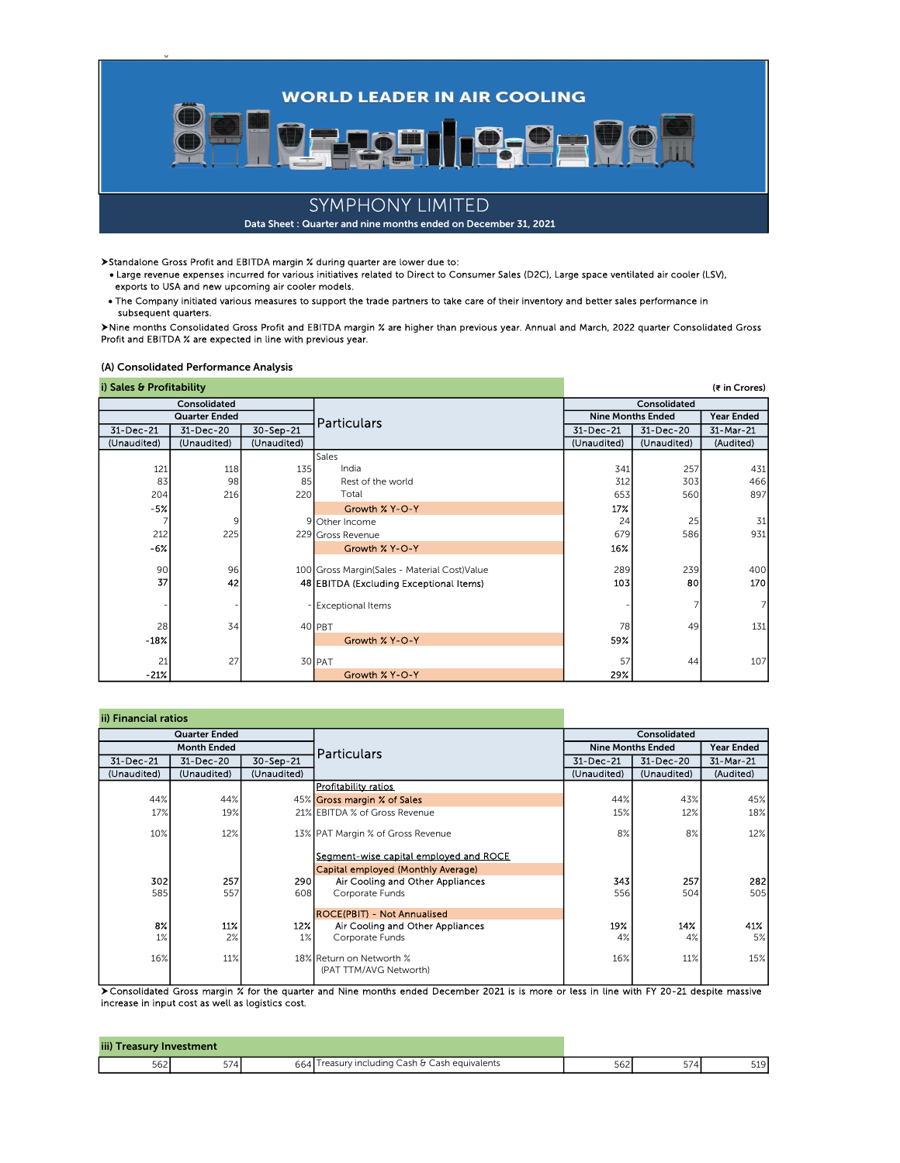

Standalone Gross Profit and EBITDA margin % during quarter are lower due to:

 Large revenue expenses incurred for various initiatives related to Direct to Consumer Sales (D2C), Large space ventilated air cooler (LSV), exports to USA and new upcoming air cooler models.

The Company initiated various measures to support the trade partners to take care of their inventory and better sales performance in subsequent quarters.

▶Nine months Consolidated Gross Profit and EBITDA margin % are higher than previous year. Annual and March, 2022 quarter Consolidated Gross<br>Profit and EBITDA % are expected in line with previous year.

(A) Consolidated Performance Analysis

|  |  | i) Sales & Profitability |  |
|--|--|--------------------------|--|

| i) Sales & Profitability |              |             |                                                |                          |             | (₹ in Crores)     |
|--------------------------|--------------|-------------|------------------------------------------------|--------------------------|-------------|-------------------|
|                          | Consolidated |             |                                                | Consolidated             |             |                   |
| <b>Quarter Ended</b>     |              |             | <b>Particulars</b>                             | <b>Nine Months Ended</b> |             | <b>Year Ended</b> |
| 31-Dec-21                | 31-Dec-20    | 30-Sep-21   |                                                | 31-Dec-21                | 31-Dec-20   | 31-Mar-21         |
| (Unaudited)              | (Unaudited)  | (Unaudited) |                                                | (Unaudited)              | (Unaudited) | (Audited)         |
|                          |              |             | <b>Sales</b>                                   |                          |             |                   |
| 121                      | 118          | 135         | India                                          | 341                      | 257         | 431               |
| 83                       | 98           | 85          | Rest of the world                              | 312                      | 303         | 466               |
| 204                      | 216          | 220         | Total                                          | 653                      | 560         | 897               |
| $-52$                    |              |             | Growth % Y-O-Y                                 | 17%                      |             |                   |
|                          | 9            |             | 9 Other Income                                 | 24                       | 25          | 31                |
| 212                      | 225          |             | 229 Gross Revenue                              | 679                      | 586         | 931               |
| $-6\%$                   |              |             | Growth % Y-O-Y                                 | 16%                      |             |                   |
| 90                       | 96           |             | 100 Gross Margin (Sales - Material Cost) Value | 289                      | 239         | 400               |
| 37                       |              |             |                                                | 103                      | 80          | 170               |
|                          | 42           |             | 48 EBITDA (Excluding Exceptional Items)        |                          |             |                   |
|                          |              |             | <b>Exceptional Items</b>                       |                          |             | 7                 |
| 28                       | 34           |             | 40 PBT                                         | 78                       | 49          | 131               |
| $-18X$                   |              |             | Growth % Y-O-Y                                 | 59%                      |             |                   |
| 21                       | 27           |             | 30 PAT                                         | 57                       | 44          | 107               |
| $-21%$                   |              |             | Growth % Y-O-Y                                 | 29%                      |             |                   |

| ii) Financial ratios |                    |             |                                                    |              |                          |                   |  |
|----------------------|--------------------|-------------|----------------------------------------------------|--------------|--------------------------|-------------------|--|
| <b>Quarter Ended</b> |                    |             |                                                    | Consolidated |                          |                   |  |
|                      | <b>Month Ended</b> |             | <b>Particulars</b>                                 |              | <b>Nine Months Ended</b> | <b>Year Ended</b> |  |
| 31-Dec-21            | 31-Dec-20          | 30-Sep-21   |                                                    | 31-Dec-21    | 31-Dec-20                | 31-Mar-21         |  |
| (Unaudited)          | (Unaudited)        | (Unaudited) |                                                    | (Unaudited)  | (Unaudited)              | (Audited)         |  |
|                      |                    |             | <b>Profitability ratios</b>                        |              |                          |                   |  |
| 44%                  | 44%                |             | 45% Gross margin % of Sales                        | 44%          | 43%                      | 45%               |  |
| 17%                  | 19%                |             | 21% EBITDA % of Gross Revenue                      | 15%          | 12%                      | 18%               |  |
| 10%                  | 12%                |             | 13% PAT Margin % of Gross Revenue                  | 8%           | 8%                       | 12%               |  |
|                      |                    |             | Segment-wise capital employed and ROCE             |              |                          |                   |  |
|                      |                    |             | Capital employed (Monthly Average)                 |              |                          |                   |  |
| 302                  | 257                | 290         | Air Cooling and Other Appliances                   | 343          | 257                      | 282               |  |
| 585                  | 557                | 608         | Corporate Funds                                    | 556          | 504                      | 505               |  |
|                      |                    |             | <b>IROCE(PBIT) - Not Annualised</b>                |              |                          |                   |  |
| 8%                   | 11%                | 12%         | Air Cooling and Other Appliances                   | 19%          | 14%                      | 41%               |  |
| 1%                   | 2%                 | 1%          | Corporate Funds                                    | 4%           | 4%                       | 5%                |  |
| 16%                  | 11%                |             | 18% Return on Networth %<br>(PAT TTM/AVG Networth) | 16%          | 11%                      | 15%               |  |

Consolidated Gross margin % for the quarter and Nine months ended December 2021 is is more or less in line with FY 20-21 despite massive increase in input cost as well as logistics cost.

| iii) Treasury Investment |                   |  |                                                |     |     |       |
|--------------------------|-------------------|--|------------------------------------------------|-----|-----|-------|
| 562                      | $F \rightarrow A$ |  | 664 Treasury including Cash & Cash equivalents | 562 | 574 | 519 I |